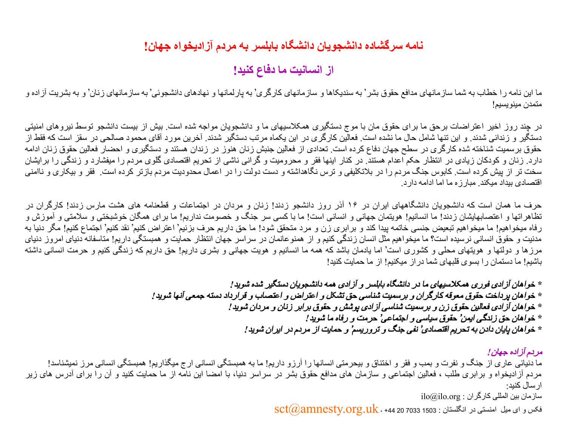## **نامھ سرگشاده دانشجویان دانشگاه بابلسر بھ مردم آزادیخواه جھان!**

**از انسانیت ما دفاع کنید!**

ما این نامه را خطاب به شما سازمانھاى مدافع حقوق بشر' به سندیکاها و سازمانهاى به پارلمانھا و نھادهاى دانشجوئى' به سازمانهاى زنان' و به بشریت آزاده و متمدن مینویسیم!

در چند روز اخیر اعتراضات برحق ما براى حقوق مان با موج دستگیرى ھمکلاسیھای ما و دانشجویان مواجھ شده است. بیش از بیست دانشجو توسط نیروھاى امنیتى دستگیر و زندانى شدند. و این تنھا شامل حال ما نشده است. فعالین کارگرى در این یکماه مرتب دستگیر شدند. آخرین مورد آقاى محمود صالحى در سقز است کھ فقط از حقوق برسمیت شناختھ شده کارگرى در سطح جھان دفاع کرده است. تعدادى از فعالین جنبش زنان ھنوز در زندان ھستند و دستگیرى و احضار فعالین حقوق زنان ادامھ دارد. زنان و کودکان زیادى در انتظار حکم اعدام ھستند. در کنار اینھا فقر و محرومیت و گرانى ناشى از تحریم اقتصادى گلوى مردم را میفشارد و زندگى را برایشان سخت تر از پیش کرده است. کابوس جنگ مردم را در بلاتکلیفى و ترس نگاھداشتھ و دست دولت را در اعمال محدودیت مردم بازتر کرده است. فقر و بیکارى و ناامنى اقتصادى بیداد میکند. مبارزه ما اما ادامھ دارد.

حرف ما ھمان است کھ دانشجویان دانشگاھھاى ایران در ١۶ آذر روز دانشجو زدند! زنان و مردان در اجتماعات و قطعنامھ ھاى ھشت مارس زدند! کارگران در تظاهراتها و اعتصابهایشان زدند! ما انسانیم! هویتمان جهانى و انسانى است! ما با کسى سر جنگ و خصومت نداریم! ما براى همگان خوشبختى و سلامتى و آموزش و رفاه میخواهیم! ما میخواهیم تبعیض جنسى خاتمه پیدا کند و برابرى زن و مرد متحقق شود! ما حق داریم حرف بزنیم' اعتراض کنیم! مگر کنیم! مگر دنیا به مدنیت و حقوق انسانى نرسیده است؟ ما میخواهیم مثل انسان زندگى کنیم و از همنوعانمان در سراسر جهان انتظار حمایت و همبستگى داریم! متاسفانه دنیاى امروز دنیاى مرزها و دولتھا و هویتھاى محلى و کشورى است' اما یادمان باشد که همه ما انسانیم و هویت جهانى و بشرى داریم! حق داریم که زندگى کنیم و حرمت انسانى داشته باشیم! ما دستمان را بسوى قلبھاى شما دراز میکنیم! از ما حمایت کنید!

> *\** خواھان آزادى فورى ھمکلاسیھاى ما در دانشگاه بابلسر <sup>و</sup> آزادى ھمھ دانشجویان دستگیر شده شوید*! \** خواھان پرداخت حقوق معوقھ کارگران <sup>و</sup> برسمیت شناسى حق تشکل <sup>و</sup> اعتراض <sup>و</sup> اعتصاب <sup>و</sup> قرارداد دستھ جمعى آنھا شوید*! \** خواھان آزادى فعالین حقوق زن <sup>و</sup> برسمیت شناسى آزادى پوشش <sup>و</sup> حقوق برابر زنان <sup>و</sup> مردان شوید*! \** خواھان حق زندگى ایمن حقوق سیاسى <sup>و</sup> اجتماعى حرمت <sup>و</sup> رفاه ما شوید*! \** خواھان پایان دادن بھ تحریم اقتصادى نفى جنگ <sup>و</sup> تروریسم <sup>و</sup> حمایت از مردم در ایران شوید*!*

> > مردم آزاده جھان*!*

ما دنیائى عارى از جنگ و نفرت و بمب و فقر و اختناق و بیحرمتى انسانها را آرزو داریم! ما به همبستگى اممبستگى انسانى مرز نمیشناسد! مردم آزادیخواه و برابری طلب ، فعالین اجتماعی و سازمان ھای مدافع حقوق بشر در سراسر دنیا، با امضا این نامھ از ما حمایت کنید و آن را برای آدرس ھای زیر ارسال کنید:  $\mathrm{ilo}(\partial\hat{\theta})$ ساز مان بین المللی کارگران : ilo

 $\text{sct}(\mathit{a})$ فکس و ای میل امنستی در انگلستان : 1503 7033 1503  $\text{sct}(\mathit{a})$ amnesty.org. $\text{u}$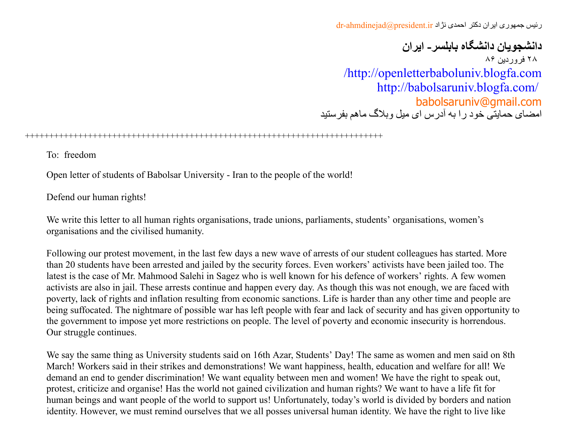رئیس جمهوری ایران دکتر احمدی نژاد dr-ahmdinejad@president.ir

**دانشجویان دانشگاه بابلسر- ایران** ٢٨ فروردین ٨۶ [/http://openletterbaboluniv.blogfa.com](http://openletterbaboluniv.blogfa.com/) <http://babolsaruniv.blogfa.com/> [babolsaruniv@gmail.com](mailto:babolsaruniv@gmail.com) امضای حمایتی خود را بھ آدرس ای میل وبلاگ ماھم بفرستید

## ++++++++++++++++++++++++++++++++++++++++++++++++++++++++++++++++++++++++++

To: freedom

Open letter of students of Babolsar University - Iran to the people of the world!

Defend our human rights!

We write this letter to all human rights organisations, trade unions, parliaments, students' organisations, women's organisations and the civilised humanity.

Following our protest movement, in the last few days a new wave of arrests of our student colleagues has started. More than 20 students have been arrested and jailed by the security forces. Even workers' activists have been jailed too. The latest is the case of Mr. Mahmood Salehi in Sagez who is well known for his defence of workers' rights. A few women activists are also in jail. These arrests continue and happen every day. As though this was not enough, we are faced with poverty, lack of rights and inflation resulting from economic sanctions. Life is harder than any other time and people are being suffocated. The nightmare of possible war has left people with fear and lack of security and has given opportunity to the government to impose yet more restrictions on people. The level of poverty and economic insecurity is horrendous. Our struggle continues.

We say the same thing as University students said on 16th Azar, Students' Day! The same as women and men said on 8th March! Workers said in their strikes and demonstrations! We want happiness, health, education and welfare for all! We demand an end to gender discrimination! We want equality between men and women! We have the right to speak out, protest, criticize and organise! Has the world not gained civilization and human rights? We want to have a life fit for human beings and want people of the world to support us! Unfortunately, today's world is divided by borders and nation identity. However, we must remind ourselves that we all posses universal human identity. We have the right to live like